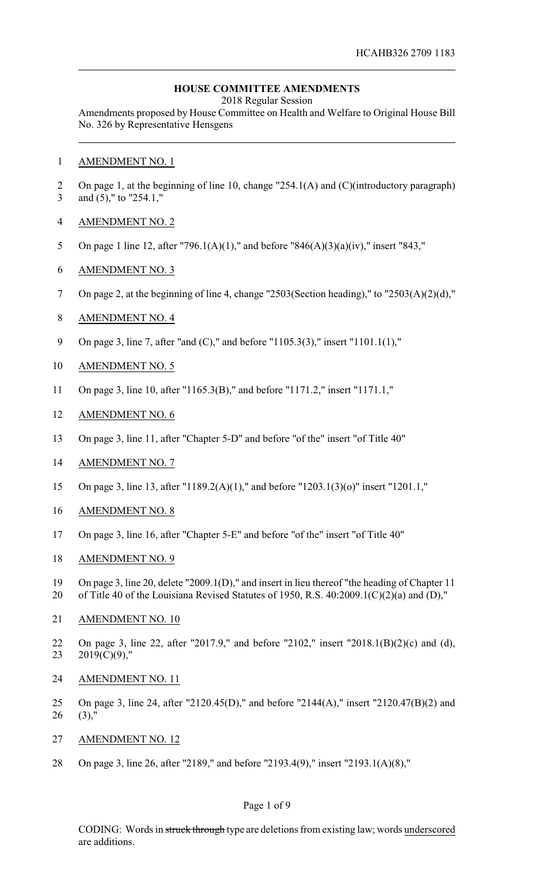### **HOUSE COMMITTEE AMENDMENTS**

2018 Regular Session

Amendments proposed by House Committee on Health and Welfare to Original House Bill No. 326 by Representative Hensgens

- AMENDMENT NO. 1
- On page 1, at the beginning of line 10, change "254.1(A) and (C)(introductory paragraph) and (5)," to "254.1,"
- AMENDMENT NO. 2
- On page 1 line 12, after "796.1(A)(1)," and before "846(A)(3)(a)(iv)," insert "843,"
- AMENDMENT NO. 3
- On page 2, at the beginning of line 4, change "2503(Section heading)," to "2503(A)(2)(d),"
- AMENDMENT NO. 4
- On page 3, line 7, after "and (C)," and before "1105.3(3)," insert "1101.1(1),"
- AMENDMENT NO. 5
- On page 3, line 10, after "1165.3(B)," and before "1171.2," insert "1171.1,"
- AMENDMENT NO. 6
- On page 3, line 11, after "Chapter 5-D" and before "of the" insert "of Title 40"
- AMENDMENT NO. 7
- On page 3, line 13, after "1189.2(A)(1)," and before "1203.1(3)(o)" insert "1201.1,"
- AMENDMENT NO. 8
- On page 3, line 16, after "Chapter 5-E" and before "of the" insert "of Title 40"
- AMENDMENT NO. 9
- On page 3, line 20, delete "2009.1(D)," and insert in lieu thereof "the heading of Chapter 11
- of Title 40 of the Louisiana Revised Statutes of 1950, R.S. 40:2009.1(C)(2)(a) and (D),"
- AMENDMENT NO. 10
- On page 3, line 22, after "2017.9," and before "2102," insert "2018.1(B)(2)(c) and (d), 2019(C)(9),"
- AMENDMENT NO. 11
- On page 3, line 24, after "2120.45(D)," and before "2144(A)," insert "2120.47(B)(2) and (3),"
- AMENDMENT NO. 12
- On page 3, line 26, after "2189," and before "2193.4(9)," insert "2193.1(A)(8),"

### Page 1 of 9

CODING: Words in struck through type are deletions from existing law; words underscored are additions.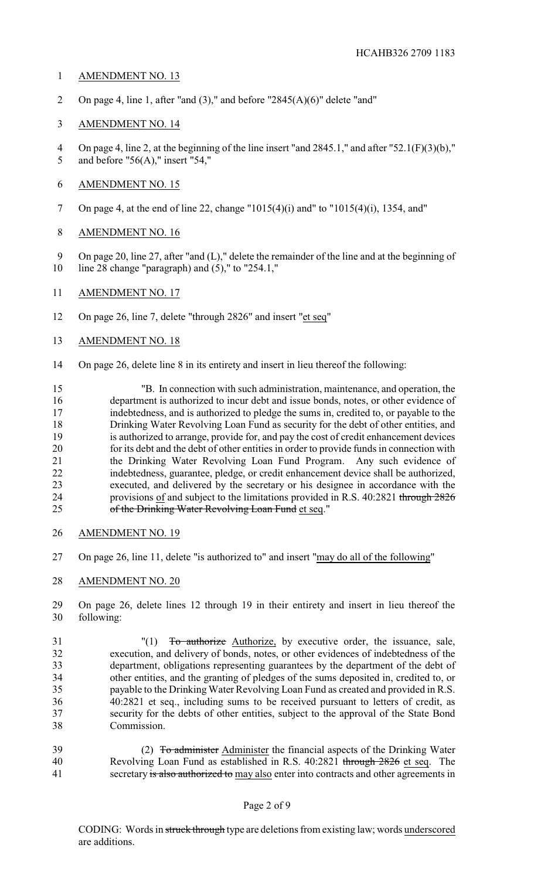## AMENDMENT NO. 13

2 On page 4, line 1, after "and  $(3)$ ," and before "2845 $(A)(6)$ " delete "and"

# AMENDMENT NO. 14

 On page 4, line 2, at the beginning of the line insert "and 2845.1," and after "52.1(F)(3)(b)," and before "56(A)," insert "54,"

# AMENDMENT NO. 15

- On page 4, at the end of line 22, change "1015(4)(i) and" to "1015(4)(i), 1354, and"
- AMENDMENT NO. 16
- On page 20, line 27, after "and (L)," delete the remainder of the line and at the beginning of line 28 change "paragraph) and (5)," to "254.1,"
- AMENDMENT NO. 17
- On page 26, line 7, delete "through 2826" and insert "et seq"
- AMENDMENT NO. 18
- On page 26, delete line 8 in its entirety and insert in lieu thereof the following:

 "B. In connection with such administration, maintenance, and operation, the department is authorized to incur debt and issue bonds, notes, or other evidence of indebtedness, and is authorized to pledge the sums in, credited to, or payable to the Drinking Water Revolving Loan Fund as security for the debt of other entities, and is authorized to arrange, provide for, and pay the cost of credit enhancement devices for its debt and the debt of other entities in order to provide funds in connection with the Drinking Water Revolving Loan Fund Program. Any such evidence of indebtedness, guarantee, pledge, or credit enhancement device shall be authorized, executed, and delivered by the secretary or his designee in accordance with the provisions of and subject to the limitations provided in R.S. 40:2821 through 2826 25 of the Drinking Water Revolving Loan Fund et seq."

- AMENDMENT NO. 19
- On page 26, line 11, delete "is authorized to" and insert "may do all of the following"
- AMENDMENT NO. 20
- On page 26, delete lines 12 through 19 in their entirety and insert in lieu thereof the following:
- "(1) To authorize Authorize, by executive order, the issuance, sale, execution, and delivery of bonds, notes, or other evidences of indebtedness of the department, obligations representing guarantees by the department of the debt of other entities, and the granting of pledges of the sums deposited in, credited to, or payable to the Drinking Water Revolving Loan Fund as created and provided in R.S. 40:2821 et seq., including sums to be received pursuant to letters of credit, as security for the debts of other entities, subject to the approval of the State Bond Commission.
- 39 (2) To administer Administer the financial aspects of the Drinking Water Revolving Loan Fund as established in R.S. 40:2821 through 2826 et seq. The 41 secretary is also authorized to may also enter into contracts and other agreements in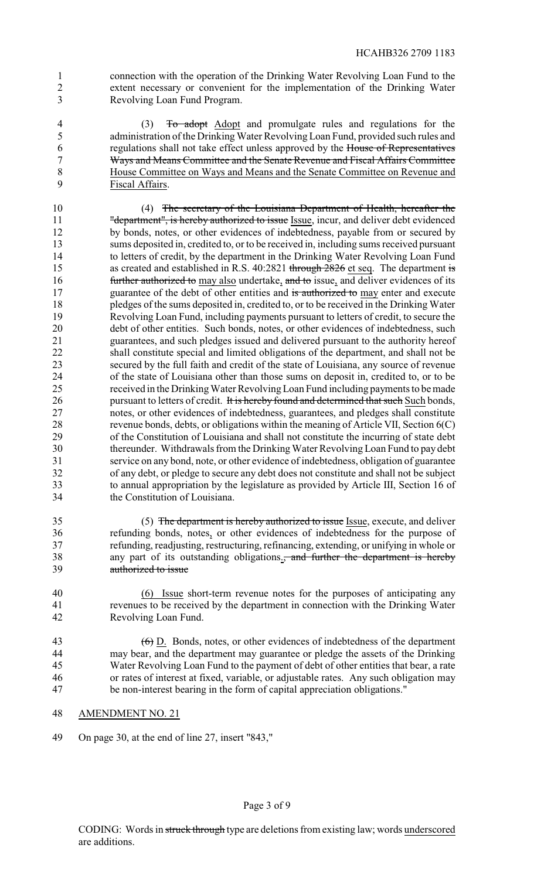connection with the operation of the Drinking Water Revolving Loan Fund to the extent necessary or convenient for the implementation of the Drinking Water Revolving Loan Fund Program.

 (3) To adopt Adopt and promulgate rules and regulations for the administration of the Drinking Water Revolving Loan Fund, provided such rules and regulations shall not take effect unless approved by the House of Representatives Ways and Means Committee and the Senate Revenue and Fiscal Affairs Committee House Committee on Ways and Means and the Senate Committee on Revenue and Fiscal Affairs.

 (4) The secretary of the Louisiana Department of Health, hereafter the 11 "department", is hereby authorized to issue Issue, incur, and deliver debt evidenced by bonds, notes, or other evidences of indebtedness, payable from or secured by sums deposited in, credited to, or to be received in, including sums received pursuant to letters of credit, by the department in the Drinking Water Revolving Loan Fund 15 as created and established in R.S. 40:2821 through 2826 et seq. The department is **further authorized to** may also undertake, and to issue, and deliver evidences of its 17 guarantee of the debt of other entities and is authorized to may enter and execute pledges of the sums deposited in, credited to, or to be received in the Drinking Water Revolving Loan Fund, including payments pursuant to letters of credit, to secure the debt of other entities. Such bonds, notes, or other evidences of indebtedness, such guarantees, and such pledges issued and delivered pursuant to the authority hereof shall constitute special and limited obligations of the department, and shall not be secured by the full faith and credit of the state of Louisiana, any source of revenue of the state of Louisiana other than those sums on deposit in, credited to, or to be received in the DrinkingWater Revolving Loan Fund including payments to be made 26 pursuant to letters of credit. It is hereby found and determined that such Such bonds, notes, or other evidences of indebtedness, guarantees, and pledges shall constitute revenue bonds, debts, or obligations within the meaning of Article VII, Section 6(C) of the Constitution of Louisiana and shall not constitute the incurring of state debt thereunder. Withdrawals from the Drinking Water Revolving Loan Fund to pay debt service on any bond, note, or other evidence of indebtedness, obligation of guarantee of any debt, or pledge to secure any debt does not constitute and shall not be subject to annual appropriation by the legislature as provided by Article III, Section 16 of the Constitution of Louisiana.

 (5) The department is hereby authorized to issue Issue, execute, and deliver refunding bonds, notes, or other evidences of indebtedness for the purpose of refunding, readjusting, restructuring, refinancing, extending, or unifying in whole or 38 any part of its outstanding obligations., and further the department is hereby authorized to issue

 (6) Issue short-term revenue notes for the purposes of anticipating any revenues to be received by the department in connection with the Drinking Water Revolving Loan Fund.

 $\left(6\right)$  D. Bonds, notes, or other evidences of indebtedness of the department may bear, and the department may guarantee or pledge the assets of the Drinking Water Revolving Loan Fund to the payment of debt of other entities that bear, a rate or rates of interest at fixed, variable, or adjustable rates. Any such obligation may be non-interest bearing in the form of capital appreciation obligations."

- AMENDMENT NO. 21
- On page 30, at the end of line 27, insert "843,"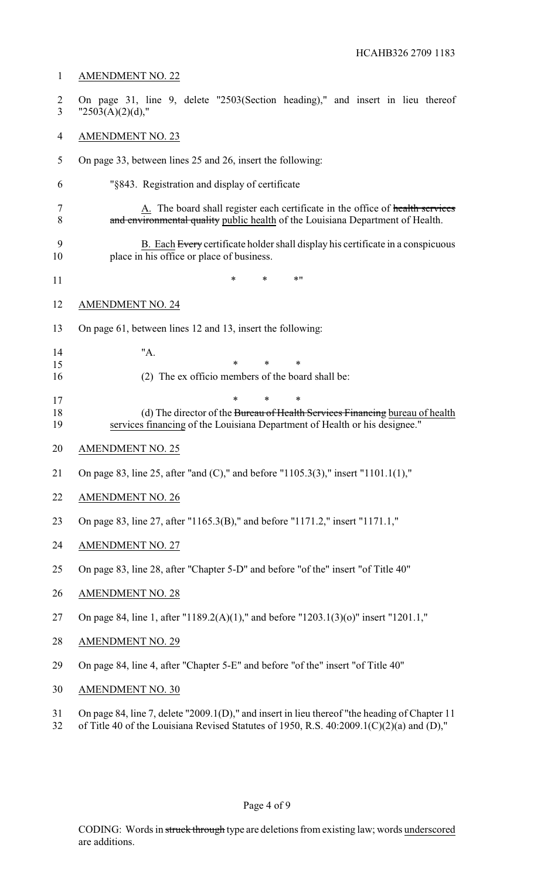# AMENDMENT NO. 22 On page 31, line 9, delete "2503(Section heading)," and insert in lieu thereof 3  $"2503(A)(2)(d),"$  AMENDMENT NO. 23 On page 33, between lines 25 and 26, insert the following: "§843. Registration and display of certificate

7 A. The board shall register each certificate in the office of health services 8 and environmental quality public health of the Louisiana Department of Health.

- 9 B. Each Every certificate holder shall display his certificate in a conspicuous place in his office or place of business.
- \* \* \*"

#### AMENDMENT NO. 24

On page 61, between lines 12 and 13, insert the following:

| 14 |                                                   |  |  |
|----|---------------------------------------------------|--|--|
| 15 |                                                   |  |  |
| 16 | (2) The ex officio members of the board shall be: |  |  |

- 17 \* \* \* \* 18 (d) The director of the Bureau of Health Services Financing bureau of health
- services financing of the Louisiana Department of Health or his designee."
- AMENDMENT NO. 25
- On page 83, line 25, after "and (C)," and before "1105.3(3)," insert "1101.1(1),"
- AMENDMENT NO. 26
- On page 83, line 27, after "1165.3(B)," and before "1171.2," insert "1171.1,"
- AMENDMENT NO. 27
- On page 83, line 28, after "Chapter 5-D" and before "of the" insert "of Title 40"
- AMENDMENT NO. 28
- On page 84, line 1, after "1189.2(A)(1)," and before "1203.1(3)(o)" insert "1201.1,"
- AMENDMENT NO. 29
- On page 84, line 4, after "Chapter 5-E" and before "of the" insert "of Title 40"
- AMENDMENT NO. 30
- On page 84, line 7, delete "2009.1(D)," and insert in lieu thereof "the heading of Chapter 11
- of Title 40 of the Louisiana Revised Statutes of 1950, R.S. 40:2009.1(C)(2)(a) and (D),"

# Page 4 of 9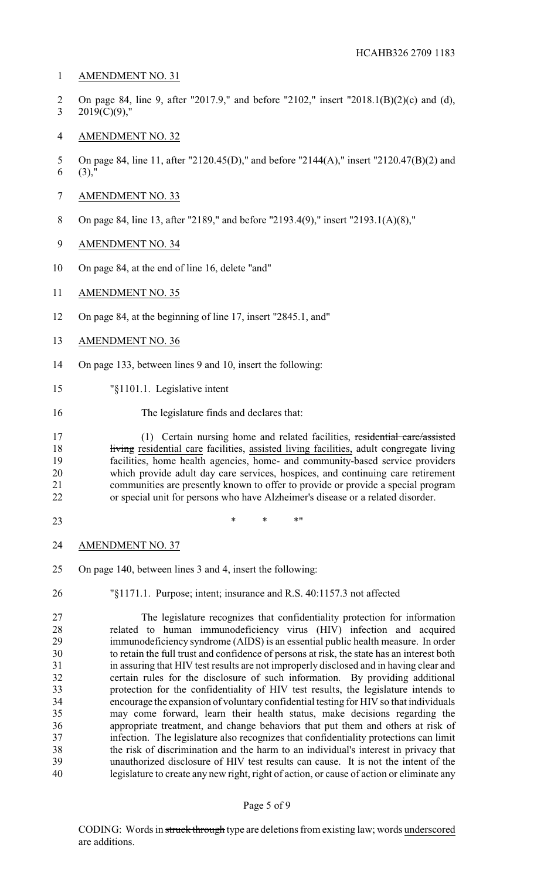- AMENDMENT NO. 31
- On page 84, line 9, after "2017.9," and before "2102," insert "2018.1(B)(2)(c) and (d), 3 2019(C)(9),"
- AMENDMENT NO. 32
- On page 84, line 11, after "2120.45(D)," and before "2144(A)," insert "2120.47(B)(2) and (3),"
- AMENDMENT NO. 33
- On page 84, line 13, after "2189," and before "2193.4(9)," insert "2193.1(A)(8),"
- AMENDMENT NO. 34
- On page 84, at the end of line 16, delete "and"
- AMENDMENT NO. 35
- On page 84, at the beginning of line 17, insert "2845.1, and"
- AMENDMENT NO. 36
- On page 133, between lines 9 and 10, insert the following:
- "§1101.1. Legislative intent
- The legislature finds and declares that:

 (1) Certain nursing home and related facilities, residential care/assisted 18 living residential care facilities, assisted living facilities, adult congregate living facilities, home health agencies, home- and community-based service providers 20 which provide adult day care services, hospices, and continuing care retirement<br>21 communities are presently known to offer to provide or provide a special program 21 communities are presently known to offer to provide or provide a special program<br>22 communities are presently known to offer to provide or provide a special program<br>22 communities are presents who have Alzheimer's disea or special unit for persons who have Alzheimer's disease or a related disorder.

- 23 \* \* \* \* \* \*
- AMENDMENT NO. 37
- On page 140, between lines 3 and 4, insert the following:
- 

"§1171.1. Purpose; intent; insurance and R.S. 40:1157.3 not affected

 The legislature recognizes that confidentiality protection for information related to human immunodeficiency virus (HIV) infection and acquired immunodeficiency syndrome (AIDS) is an essential public health measure. In order to retain the full trust and confidence of persons at risk, the state has an interest both in assuring that HIV test results are not improperly disclosed and in having clear and certain rules for the disclosure of such information. By providing additional protection for the confidentiality of HIV test results, the legislature intends to encourage the expansion of voluntary confidential testing for HIV so that individuals may come forward, learn their health status, make decisions regarding the appropriate treatment, and change behaviors that put them and others at risk of infection. The legislature also recognizes that confidentiality protections can limit the risk of discrimination and the harm to an individual's interest in privacy that unauthorized disclosure of HIV test results can cause. It is not the intent of the legislature to create any new right, right of action, or cause of action or eliminate any

#### Page 5 of 9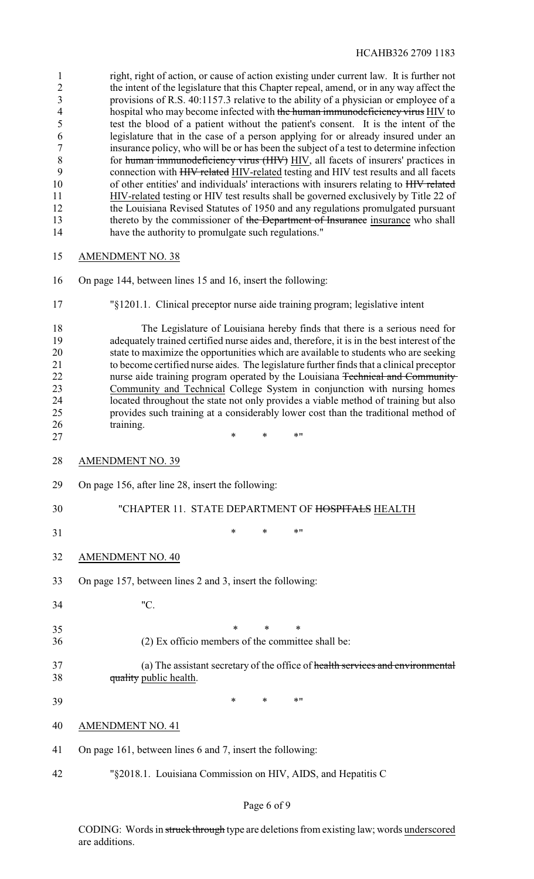|    | right, right of action, or cause of action existing under current law. It is further not |
|----|------------------------------------------------------------------------------------------|
|    | the intent of the legislature that this Chapter repeal, amend, or in any way affect the  |
|    | provisions of R.S. 40:1157.3 relative to the ability of a physician or employee of a     |
| 4  | hospital who may become infected with the human immunodeficiency virus HIV to            |
|    | test the blood of a patient without the patient's consent. It is the intent of the       |
| 6  | legislature that in the case of a person applying for or already insured under an        |
|    | insurance policy, who will be or has been the subject of a test to determine infection   |
| 8  | for human immunodeficiency virus (HIV) HIV, all facets of insurers' practices in         |
| 9  | connection with HHV related HIV-related testing and HIV test results and all facets      |
| 10 | of other entities' and individuals' interactions with insurers relating to HIV related   |
| 11 | HIV-related testing or HIV test results shall be governed exclusively by Title 22 of     |
| 12 | the Louisiana Revised Statutes of 1950 and any regulations promulgated pursuant          |
| 13 | thereto by the commissioner of the Department of Insurance insurance who shall           |
| 14 | have the authority to promulgate such regulations."                                      |
| 15 | <b>AMENDMENT NO. 38</b>                                                                  |

On page 144, between lines 15 and 16, insert the following:

"§1201.1. Clinical preceptor nurse aide training program; legislative intent

 The Legislature of Louisiana hereby finds that there is a serious need for adequately trained certified nurse aides and, therefore, it is in the best interest of the state to maximize the opportunities which are available to students who are seeking to become certified nurse aides. The legislature further finds that a clinical preceptor 22 nurse aide training program operated by the Louisiana Technical and Community Community and Technical College System in conjunction with nursing homes located throughout the state not only provides a viable method of training but also provides such training at a considerably lower cost than the traditional method of 26 training.

- AMENDMENT NO. 39
- On page 156, after line 28, insert the following:

 $\cdots$  \* \* \* \* "

- "CHAPTER 11. STATE DEPARTMENT OF HOSPITALS HEALTH
- 

31 \* \* \* \* \* \*

- AMENDMENT NO. 40
- On page 157, between lines 2 and 3, insert the following:
- "C.
- 35 \* \* \* \*
- (2) Ex officio members of the committee shall be:
- (a) The assistant secretary of the office of health services and environmental 38 quality public health.
- \* \* \*"
- AMENDMENT NO. 41
- On page 161, between lines 6 and 7, insert the following:
- "§2018.1. Louisiana Commission on HIV, AIDS, and Hepatitis C

CODING: Words in struck through type are deletions from existing law; words underscored are additions.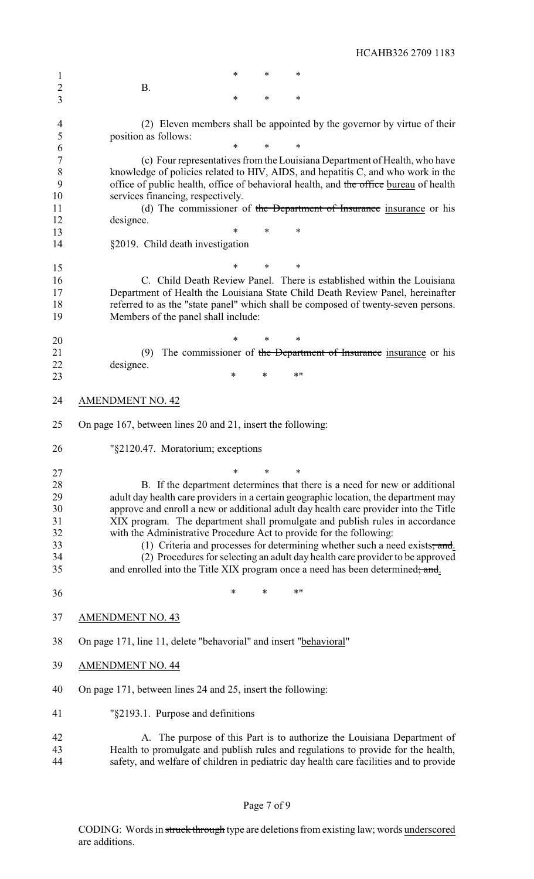1 \* \* \* \* B. \* \* \* (2) Eleven members shall be appointed by the governor by virtue of their position as follows: \* \* \* (c) Four representatives from the Louisiana Department of Health, who have knowledge of policies related to HIV, AIDS, and hepatitis C, and who work in the 9 office of public health, office of behavioral health, and the office bureau of health services financing, respectively. 11 (d) The commissioner of the Department of Insurance insurance or his designee. \* \* \* §2019. Child death investigation \* \* \* C. Child Death Review Panel. There is established within the Louisiana Department of Health the Louisiana State Child Death Review Panel, hereinafter referred to as the "state panel" which shall be composed of twenty-seven persons. Members of the panel shall include: \* \* \* 21 (9) The commissioner of the Department of Insurance insurance or his designee. designee. 23 \* \* \* \* \* \* AMENDMENT NO. 42 On page 167, between lines 20 and 21, insert the following: "§2120.47. Moratorium; exceptions \* \* \* 28 B. If the department determines that there is a need for new or additional<br>29 adult day health care providers in a certain geographic location, the department may adult day health care providers in a certain geographic location, the department may approve and enroll a new or additional adult day health care provider into the Title XIX program. The department shall promulgate and publish rules in accordance with the Administrative Procedure Act to provide for the following: 33 (1) Criteria and processes for determining whether such a need exists; and. (2) Procedures for selecting an adult day health care provider to be approved 35 and enrolled into the Title XIX program once a need has been determined; and. 36 \* \* \* \* \* \* AMENDMENT NO. 43 On page 171, line 11, delete "behavorial" and insert "behavioral" AMENDMENT NO. 44 On page 171, between lines 24 and 25, insert the following: "§2193.1. Purpose and definitions A. The purpose of this Part is to authorize the Louisiana Department of Health to promulgate and publish rules and regulations to provide for the health, safety, and welfare of children in pediatric day health care facilities and to provide

HCAHB326 2709 1183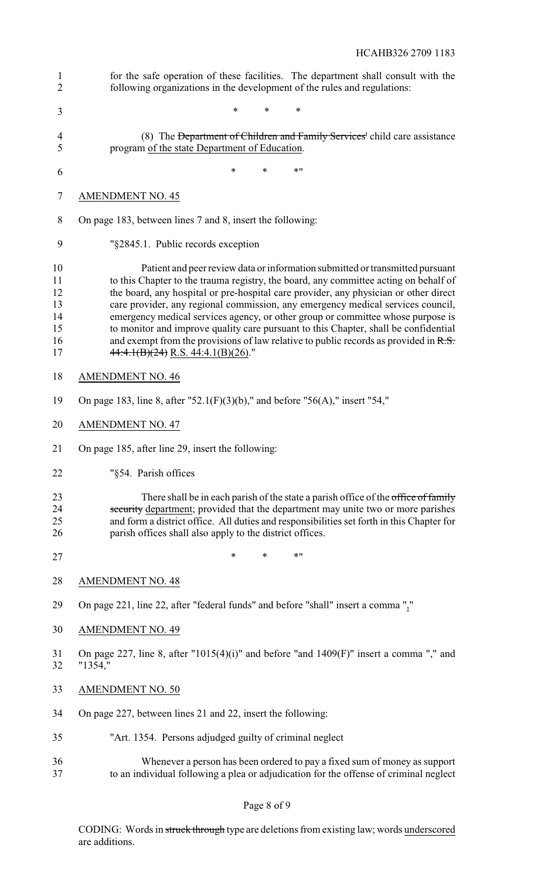| $\mathbf{1}$<br>$\overline{2}$               | for the safe operation of these facilities. The department shall consult with the<br>following organizations in the development of the rules and regulations:                                                                                                                                                                                                                                                                                                                                                                                                                                                                                                   |
|----------------------------------------------|-----------------------------------------------------------------------------------------------------------------------------------------------------------------------------------------------------------------------------------------------------------------------------------------------------------------------------------------------------------------------------------------------------------------------------------------------------------------------------------------------------------------------------------------------------------------------------------------------------------------------------------------------------------------|
| 3                                            | *<br>*<br>*                                                                                                                                                                                                                                                                                                                                                                                                                                                                                                                                                                                                                                                     |
| 4<br>5                                       | (8) The Department of Children and Family Services' child care assistance<br>program of the state Department of Education.                                                                                                                                                                                                                                                                                                                                                                                                                                                                                                                                      |
| 6                                            | $*$ "<br>$\ast$<br>$\ast$                                                                                                                                                                                                                                                                                                                                                                                                                                                                                                                                                                                                                                       |
| $\tau$                                       | <b>AMENDMENT NO. 45</b>                                                                                                                                                                                                                                                                                                                                                                                                                                                                                                                                                                                                                                         |
| 8                                            | On page 183, between lines 7 and 8, insert the following:                                                                                                                                                                                                                                                                                                                                                                                                                                                                                                                                                                                                       |
| 9                                            | "§2845.1. Public records exception                                                                                                                                                                                                                                                                                                                                                                                                                                                                                                                                                                                                                              |
| 10<br>11<br>12<br>13<br>14<br>15<br>16<br>17 | Patient and peer review data or information submitted or transmitted pursuant<br>to this Chapter to the trauma registry, the board, any committee acting on behalf of<br>the board, any hospital or pre-hospital care provider, any physician or other direct<br>care provider, any regional commission, any emergency medical services council,<br>emergency medical services agency, or other group or committee whose purpose is<br>to monitor and improve quality care pursuant to this Chapter, shall be confidential<br>and exempt from the provisions of law relative to public records as provided in $R.S.$<br>$44:4.1(B)(24)$ R.S. $44:4.1(B)(26)$ ." |
| 18                                           | <b>AMENDMENT NO. 46</b>                                                                                                                                                                                                                                                                                                                                                                                                                                                                                                                                                                                                                                         |
| 19                                           | On page 183, line 8, after "52.1(F)(3)(b)," and before "56(A)," insert "54,"                                                                                                                                                                                                                                                                                                                                                                                                                                                                                                                                                                                    |
| 20                                           | <b>AMENDMENT NO. 47</b>                                                                                                                                                                                                                                                                                                                                                                                                                                                                                                                                                                                                                                         |
| 21                                           | On page 185, after line 29, insert the following:                                                                                                                                                                                                                                                                                                                                                                                                                                                                                                                                                                                                               |
| 22                                           | "§54. Parish offices                                                                                                                                                                                                                                                                                                                                                                                                                                                                                                                                                                                                                                            |
| 23<br>24<br>25<br>26                         | There shall be in each parish of the state a parish office of the office of family<br>security department; provided that the department may unite two or more parishes<br>and form a district office. All duties and responsibilities set forth in this Chapter for<br>parish offices shall also apply to the district offices.                                                                                                                                                                                                                                                                                                                                 |
| 27                                           | $\ast$<br>$*$ "<br>$\ast$                                                                                                                                                                                                                                                                                                                                                                                                                                                                                                                                                                                                                                       |
| 28                                           | <b>AMENDMENT NO. 48</b>                                                                                                                                                                                                                                                                                                                                                                                                                                                                                                                                                                                                                                         |
| 29                                           | On page 221, line 22, after "federal funds" and before "shall" insert a comma ","                                                                                                                                                                                                                                                                                                                                                                                                                                                                                                                                                                               |
| 30                                           | <b>AMENDMENT NO. 49</b>                                                                                                                                                                                                                                                                                                                                                                                                                                                                                                                                                                                                                                         |
| 31<br>32                                     | On page 227, line 8, after "1015(4)(i)" and before "and 1409(F)" insert a comma "," and<br>"1354,"                                                                                                                                                                                                                                                                                                                                                                                                                                                                                                                                                              |
| 33                                           | <b>AMENDMENT NO. 50</b>                                                                                                                                                                                                                                                                                                                                                                                                                                                                                                                                                                                                                                         |
| 34                                           | On page 227, between lines 21 and 22, insert the following:                                                                                                                                                                                                                                                                                                                                                                                                                                                                                                                                                                                                     |
| 35                                           | "Art. 1354. Persons adjudged guilty of criminal neglect                                                                                                                                                                                                                                                                                                                                                                                                                                                                                                                                                                                                         |
| 36<br>37                                     | Whenever a person has been ordered to pay a fixed sum of money as support<br>to an individual following a plea or adjudication for the offense of criminal neglect                                                                                                                                                                                                                                                                                                                                                                                                                                                                                              |